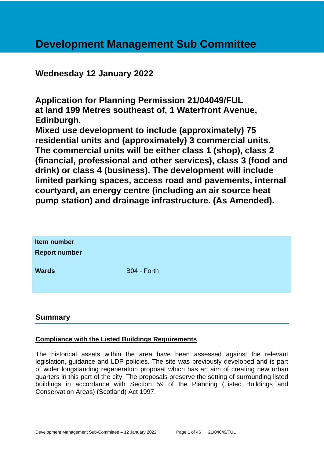# **Development Management Sub Committee**

# **Wednesday 12 January 2022**

**Application for Planning Permission 21/04049/FUL at land 199 Metres southeast of, 1 Waterfront Avenue, Edinburgh.**

**Mixed use development to include (approximately) 75 residential units and (approximately) 3 commercial units. The commercial units will be either class 1 (shop), class 2 (financial, professional and other services), class 3 (food and drink) or class 4 (business). The development will include limited parking spaces, access road and pavements, internal courtyard, an energy centre (including an air source heat pump station) and drainage infrastructure. (As Amended).**

| Item number<br><b>Report number</b> |             |
|-------------------------------------|-------------|
| <b>Wards</b>                        | B04 - Forth |

# **Summary**

# **Compliance with the Listed Buildings Requirements**

The historical assets within the area have been assessed against the relevant legislation, guidance and LDP policies. The site was previously developed and is part of wider longstanding regeneration proposal which has an aim of creating new urban quarters in this part of the city. The proposals preserve the setting of surrounding listed buildings in accordance with Section 59 of the Planning (Listed Buildings and Conservation Areas) (Scotland) Act 1997.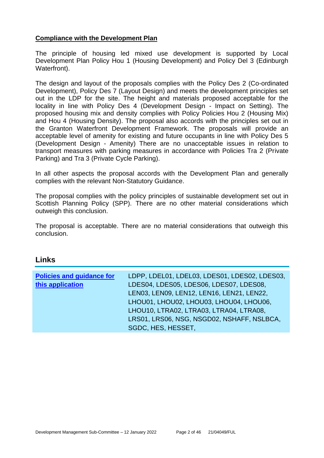#### **Compliance with the Development Plan**

The principle of housing led mixed use development is supported by Local Development Plan Policy Hou 1 (Housing Development) and Policy Del 3 (Edinburgh Waterfront).

The design and layout of the proposals complies with the Policy Des 2 (Co-ordinated Development), Policy Des 7 (Layout Design) and meets the development principles set out in the LDP for the site. The height and materials proposed acceptable for the locality in line with Policy Des 4 (Development Design - Impact on Setting). The proposed housing mix and density complies with Policy Policies Hou 2 (Housing Mix) and Hou 4 (Housing Density). The proposal also accords with the principles set out in the Granton Waterfront Development Framework. The proposals will provide an acceptable level of amenity for existing and future occupants in line with Policy Des 5 (Development Design - Amenity) There are no unacceptable issues in relation to transport measures with parking measures in accordance with Policies Tra 2 (Private Parking) and Tra 3 (Private Cycle Parking).

In all other aspects the proposal accords with the Development Plan and generally complies with the relevant Non-Statutory Guidance.

The proposal complies with the policy principles of sustainable development set out in Scottish Planning Policy (SPP). There are no other material considerations which outweigh this conclusion.

The proposal is acceptable. There are no material considerations that outweigh this conclusion.

# **Links**

| <b>Policies and guidance for</b> | LDPP, LDEL01, LDEL03, LDES01, LDES02, LDES03, |
|----------------------------------|-----------------------------------------------|
| this application                 | LDES04, LDES05, LDES06, LDES07, LDES08,       |
|                                  | LEN03, LEN09, LEN12, LEN16, LEN21, LEN22,     |
|                                  | LHOU01, LHOU02, LHOU03, LHOU04, LHOU06,       |
|                                  | LHOU10, LTRA02, LTRA03, LTRA04, LTRA08,       |
|                                  | LRS01, LRS06, NSG, NSGD02, NSHAFF, NSLBCA,    |
|                                  | SGDC, HES, HESSET,                            |
|                                  |                                               |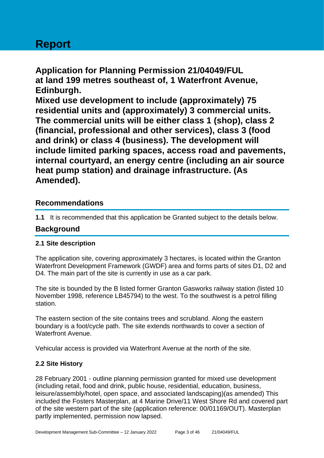# **Report**

**Application for Planning Permission 21/04049/FUL at land 199 metres southeast of, 1 Waterfront Avenue, Edinburgh. Mixed use development to include (approximately) 75** 

**residential units and (approximately) 3 commercial units. The commercial units will be either class 1 (shop), class 2 (financial, professional and other services), class 3 (food and drink) or class 4 (business). The development will include limited parking spaces, access road and pavements, internal courtyard, an energy centre (including an air source heat pump station) and drainage infrastructure. (As Amended).**

# **Recommendations**

**1.1** It is recommended that this application be Granted subject to the details below.

# **Background**

# **2.1 Site description**

The application site, covering approximately 3 hectares, is located within the Granton Waterfront Development Framework (GWDF) area and forms parts of sites D1, D2 and D4. The main part of the site is currently in use as a car park.

The site is bounded by the B listed former Granton Gasworks railway station (listed 10 November 1998, reference LB45794) to the west. To the southwest is a petrol filling station.

The eastern section of the site contains trees and scrubland. Along the eastern boundary is a foot/cycle path. The site extends northwards to cover a section of Waterfront Avenue.

Vehicular access is provided via Waterfront Avenue at the north of the site.

# **2.2 Site History**

28 February 2001 - outline planning permission granted for mixed use development (including retail, food and drink, public house, residential, education, business, leisure/assembly/hotel, open space, and associated landscaping)(as amended) This included the Fosters Masterplan, at 4 Marine Drive/11 West Shore Rd and covered part of the site western part of the site (application reference: 00/01169/OUT). Masterplan partly implemented, permission now lapsed.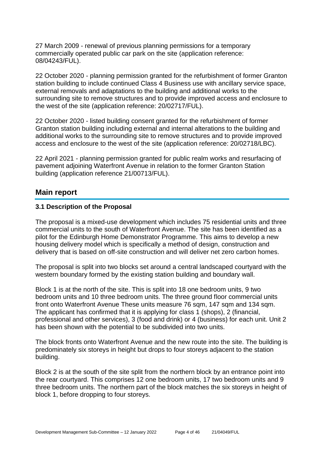27 March 2009 - renewal of previous planning permissions for a temporary commercially operated public car park on the site (application reference: 08/04243/FUL).

22 October 2020 - planning permission granted for the refurbishment of former Granton station building to include continued Class 4 Business use with ancillary service space, external removals and adaptations to the building and additional works to the surrounding site to remove structures and to provide improved access and enclosure to the west of the site (application reference: 20/02717/FUL).

22 October 2020 - listed building consent granted for the refurbishment of former Granton station building including external and internal alterations to the building and additional works to the surrounding site to remove structures and to provide improved access and enclosure to the west of the site (application reference: 20/02718/LBC).

22 April 2021 - planning permission granted for public realm works and resurfacing of pavement adjoining Waterfront Avenue in relation to the former Granton Station building (application reference 21/00713/FUL).

# **Main report**

#### **3.1 Description of the Proposal**

The proposal is a mixed-use development which includes 75 residential units and three commercial units to the south of Waterfront Avenue. The site has been identified as a pilot for the Edinburgh Home Demonstrator Programme. This aims to develop a new housing delivery model which is specifically a method of design, construction and delivery that is based on off-site construction and will deliver net zero carbon homes.

The proposal is split into two blocks set around a central landscaped courtyard with the western boundary formed by the existing station building and boundary wall.

Block 1 is at the north of the site. This is split into 18 one bedroom units, 9 two bedroom units and 10 three bedroom units. The three ground floor commercial units front onto Waterfront Avenue These units measure 76 sqm, 147 sqm and 134 sqm. The applicant has confirmed that it is applying for class 1 (shops), 2 (financial, professional and other services), 3 (food and drink) or 4 (business) for each unit. Unit 2 has been shown with the potential to be subdivided into two units.

The block fronts onto Waterfront Avenue and the new route into the site. The building is predominately six storeys in height but drops to four storeys adjacent to the station building.

Block 2 is at the south of the site split from the northern block by an entrance point into the rear courtyard. This comprises 12 one bedroom units, 17 two bedroom units and 9 three bedroom units. The northern part of the block matches the six storeys in height of block 1, before dropping to four storeys.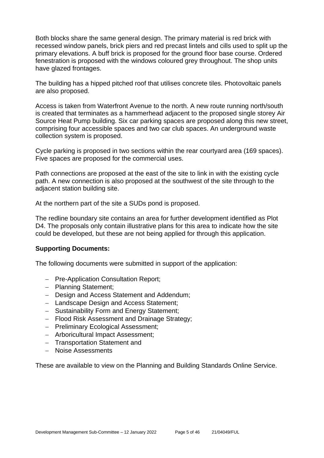Both blocks share the same general design. The primary material is red brick with recessed window panels, brick piers and red precast lintels and cills used to split up the primary elevations. A buff brick is proposed for the ground floor base course. Ordered fenestration is proposed with the windows coloured grey throughout. The shop units have glazed frontages.

The building has a hipped pitched roof that utilises concrete tiles. Photovoltaic panels are also proposed.

Access is taken from Waterfront Avenue to the north. A new route running north/south is created that terminates as a hammerhead adjacent to the proposed single storey Air Source Heat Pump building. Six car parking spaces are proposed along this new street, comprising four accessible spaces and two car club spaces. An underground waste collection system is proposed.

Cycle parking is proposed in two sections within the rear courtyard area (169 spaces). Five spaces are proposed for the commercial uses.

Path connections are proposed at the east of the site to link in with the existing cycle path. A new connection is also proposed at the southwest of the site through to the adjacent station building site.

At the northern part of the site a SUDs pond is proposed.

The redline boundary site contains an area for further development identified as Plot D4. The proposals only contain illustrative plans for this area to indicate how the site could be developed, but these are not being applied for through this application.

#### **Supporting Documents:**

The following documents were submitted in support of the application:

- − Pre-Application Consultation Report;
- − Planning Statement;
- − Design and Access Statement and Addendum;
- − Landscape Design and Access Statement;
- − Sustainability Form and Energy Statement;
- − Flood Risk Assessment and Drainage Strategy;
- − Preliminary Ecological Assessment;
- − Arboricultural Impact Assessment;
- − Transportation Statement and
- − Noise Assessments

These are available to view on the Planning and Building Standards Online Service.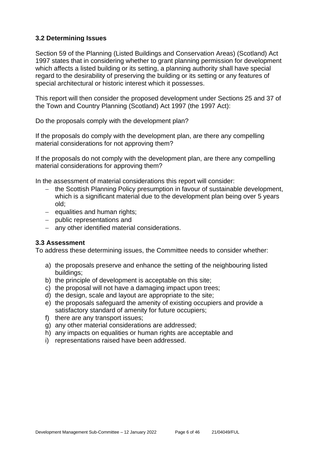#### **3.2 Determining Issues**

Section 59 of the Planning (Listed Buildings and Conservation Areas) (Scotland) Act 1997 states that in considering whether to grant planning permission for development which affects a listed building or its setting, a planning authority shall have special regard to the desirability of preserving the building or its setting or any features of special architectural or historic interest which it possesses.

This report will then consider the proposed development under Sections 25 and 37 of the Town and Country Planning (Scotland) Act 1997 (the 1997 Act):

Do the proposals comply with the development plan?

If the proposals do comply with the development plan, are there any compelling material considerations for not approving them?

If the proposals do not comply with the development plan, are there any compelling material considerations for approving them?

In the assessment of material considerations this report will consider:

- − the Scottish Planning Policy presumption in favour of sustainable development, which is a significant material due to the development plan being over 5 years old;
- − equalities and human rights;
- − public representations and
- − any other identified material considerations.

#### **3.3 Assessment**

To address these determining issues, the Committee needs to consider whether:

- a) the proposals preserve and enhance the setting of the neighbouring listed buildings;
- b) the principle of development is acceptable on this site;
- c) the proposal will not have a damaging impact upon trees;
- d) the design, scale and layout are appropriate to the site;
- e) the proposals safeguard the amenity of existing occupiers and provide a satisfactory standard of amenity for future occupiers;
- f) there are any transport issues;
- g) any other material considerations are addressed;
- h) any impacts on equalities or human rights are acceptable and
- i) representations raised have been addressed.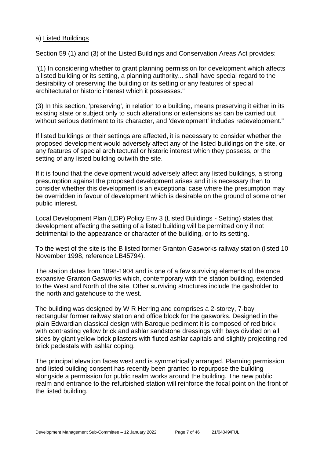#### a) Listed Buildings

Section 59 (1) and (3) of the Listed Buildings and Conservation Areas Act provides:

"(1) In considering whether to grant planning permission for development which affects a listed building or its setting, a planning authority... shall have special regard to the desirability of preserving the building or its setting or any features of special architectural or historic interest which it possesses."

(3) In this section, 'preserving', in relation to a building, means preserving it either in its existing state or subject only to such alterations or extensions as can be carried out without serious detriment to its character, and 'development' includes redevelopment."

If listed buildings or their settings are affected, it is necessary to consider whether the proposed development would adversely affect any of the listed buildings on the site, or any features of special architectural or historic interest which they possess, or the setting of any listed building outwith the site.

If it is found that the development would adversely affect any listed buildings, a strong presumption against the proposed development arises and it is necessary then to consider whether this development is an exceptional case where the presumption may be overridden in favour of development which is desirable on the ground of some other public interest.

Local Development Plan (LDP) Policy Env 3 (Listed Buildings - Setting) states that development affecting the setting of a listed building will be permitted only if not detrimental to the appearance or character of the building, or to its setting.

To the west of the site is the B listed former Granton Gasworks railway station (listed 10 November 1998, reference LB45794).

The station dates from 1898-1904 and is one of a few surviving elements of the once expansive Granton Gasworks which, contemporary with the station building, extended to the West and North of the site. Other surviving structures include the gasholder to the north and gatehouse to the west.

The building was designed by W R Herring and comprises a 2-storey, 7-bay rectangular former railway station and office block for the gasworks. Designed in the plain Edwardian classical design with Baroque pediment it is composed of red brick with contrasting yellow brick and ashlar sandstone dressings with bays divided on all sides by giant yellow brick pilasters with fluted ashlar capitals and slightly projecting red brick pedestals with ashlar coping.

The principal elevation faces west and is symmetrically arranged. Planning permission and listed building consent has recently been granted to repurpose the building alongside a permission for public realm works around the building. The new public realm and entrance to the refurbished station will reinforce the focal point on the front of the listed building.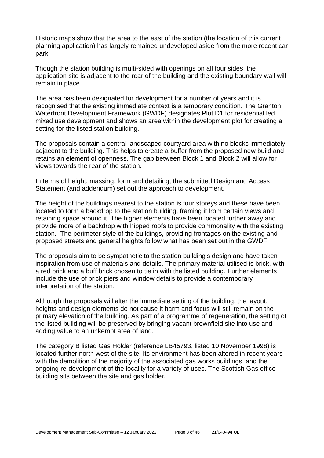Historic maps show that the area to the east of the station (the location of this current planning application) has largely remained undeveloped aside from the more recent car park.

Though the station building is multi-sided with openings on all four sides, the application site is adjacent to the rear of the building and the existing boundary wall will remain in place.

The area has been designated for development for a number of years and it is recognised that the existing immediate context is a temporary condition. The Granton Waterfront Development Framework (GWDF) designates Plot D1 for residential led mixed use development and shows an area within the development plot for creating a setting for the listed station building.

The proposals contain a central landscaped courtyard area with no blocks immediately adjacent to the building. This helps to create a buffer from the proposed new build and retains an element of openness. The gap between Block 1 and Block 2 will allow for views towards the rear of the station.

In terms of height, massing, form and detailing, the submitted Design and Access Statement (and addendum) set out the approach to development.

The height of the buildings nearest to the station is four storeys and these have been located to form a backdrop to the station building, framing it from certain views and retaining space around it. The higher elements have been located further away and provide more of a backdrop with hipped roofs to provide commonality with the existing station. The perimeter style of the buildings, providing frontages on the existing and proposed streets and general heights follow what has been set out in the GWDF.

The proposals aim to be sympathetic to the station building's design and have taken inspiration from use of materials and details. The primary material utilised is brick, with a red brick and a buff brick chosen to tie in with the listed building. Further elements include the use of brick piers and window details to provide a contemporary interpretation of the station.

Although the proposals will alter the immediate setting of the building, the layout, heights and design elements do not cause it harm and focus will still remain on the primary elevation of the building. As part of a programme of regeneration, the setting of the listed building will be preserved by bringing vacant brownfield site into use and adding value to an unkempt area of land.

The category B listed Gas Holder (reference LB45793, listed 10 November 1998) is located further north west of the site. Its environment has been altered in recent years with the demolition of the majority of the associated gas works buildings, and the ongoing re-development of the locality for a variety of uses. The Scottish Gas office building sits between the site and gas holder.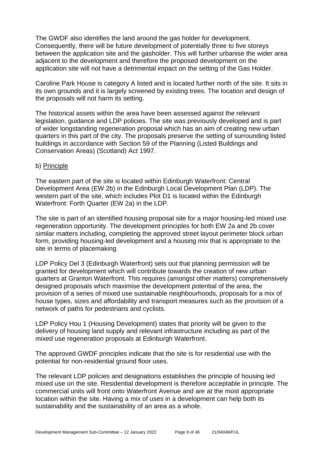The GWDF also identifies the land around the gas holder for development. Consequently, there will be future development of potentially three to five storeys between the application site and the gasholder. This will further urbanise the wider area adjacent to the development and therefore the proposed development on the application site will not have a detrimental impact on the setting of the Gas Holder.

Caroline Park House is category A listed and is located further north of the site. It sits in its own grounds and it is largely screened by existing trees. The location and design of the proposals will not harm its setting.

The historical assets within the area have been assessed against the relevant legislation, guidance and LDP policies. The site was previously developed and is part of wider longstanding regeneration proposal which has an aim of creating new urban quarters in this part of the city. The proposals preserve the setting of surrounding listed buildings in accordance with Section 59 of the Planning (Listed Buildings and Conservation Areas) (Scotland) Act 1997.

#### b) Principle

The eastern part of the site is located within Edinburgh Waterfront: Central Development Area (EW 2b) in the Edinburgh Local Development Plan (LDP). The western part of the site, which includes Plot D1 is located within the Edinburgh Waterfront: Forth Quarter (EW 2a) in the LDP.

The site is part of an identified housing proposal site for a major housing-led mixed use regeneration opportunity. The development principles for both EW 2a and 2b cover similar matters including, completing the approved street layout perimeter block urban form, providing housing-led development and a housing mix that is appropriate to the site in terms of placemaking.

LDP Policy Del 3 (Edinburgh Waterfront) sets out that planning permission will be granted for development which will contribute towards the creation of new urban quarters at Granton Waterfront. This requires (amongst other matters) comprehensively designed proposals which maximise the development potential of the area, the provision of a series of mixed use sustainable neighbourhoods, proposals for a mix of house types, sizes and affordability and transport measures such as the provision of a network of paths for pedestrians and cyclists.

LDP Policy Hou 1 (Housing Development) states that priority will be given to the delivery of housing land supply and relevant infrastructure including as part of the mixed use regeneration proposals at Edinburgh Waterfront.

The approved GWDF principles indicate that the site is for residential use with the potential for non-residential ground floor uses.

The relevant LDP policies and designations establishes the principle of housing led mixed use on the site. Residential development is therefore acceptable in principle. The commercial units will front onto Waterfront Avenue and are at the most appropriate location within the site. Having a mix of uses in a development can help both its sustainability and the sustainability of an area as a whole.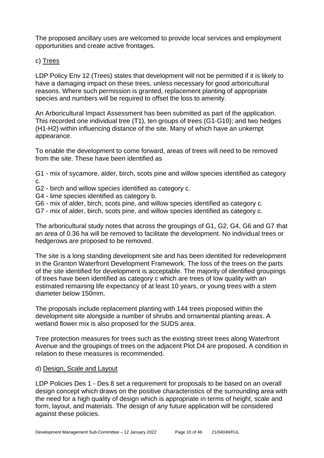The proposed ancillary uses are welcomed to provide local services and employment opportunities and create active frontages.

c) Trees

LDP Policy Env 12 (Trees) states that development will not be permitted if it is likely to have a damaging impact on these trees, unless necessary for good arboricultural reasons. Where such permission is granted, replacement planting of appropriate species and numbers will be required to offset the loss to amenity.

An Arboricultural Impact Assessment has been submitted as part of the application. This recorded one individual tree (T1), ten groups of trees (G1-G10); and two hedges (H1-H2) within influencing distance of the site. Many of which have an unkempt appearance.

To enable the development to come forward, areas of trees will need to be removed from the site. These have been identified as

G1 - mix of sycamore, alder, birch, scots pine and willow species identified as category c.

- G2 birch and willow species identified as category c.
- G4 lime species identified as category b.
- G6 mix of alder, birch, scots pine, and willow species identified as category c.
- G7 mix of alder, birch, scots pine, and willow species identified as category c.

The arboricultural study notes that across the groupings of G1, G2, G4, G6 and G7 that an area of 0.36 ha will be removed to facilitate the development. No individual trees or hedgerows are proposed to be removed.

The site is a long standing development site and has been identified for redevelopment in the Granton Waterfront Development Framework. The loss of the trees on the parts of the site identified for development is acceptable. The majority of identified groupings of trees have been identified as category c which are trees of low quality with an estimated remaining life expectancy of at least 10 years, or young trees with a stem diameter below 150mm.

The proposals include replacement planting with 144 trees proposed within the development site alongside a number of shrubs and ornamental planting areas. A wetland flower mix is also proposed for the SUDS area.

Tree protection measures for trees such as the existing street trees along Waterfront Avenue and the groupings of trees on the adjacent Plot D4 are proposed. A condition in relation to these measures is recommended.

#### d) Design, Scale and Layout

LDP Policies Des 1 - Des 8 set a requirement for proposals to be based on an overall design concept which draws on the positive characteristics of the surrounding area with the need for a high quality of design which is appropriate in terms of height, scale and form, layout, and materials. The design of any future application will be considered against these policies.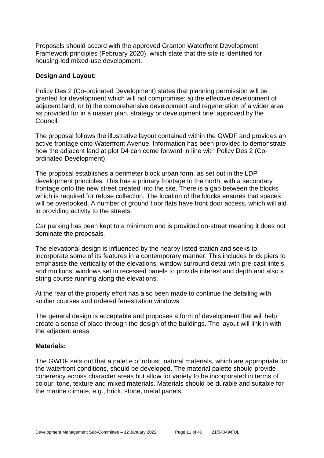Proposals should accord with the approved Granton Waterfront Development Framework principles (February 2020), which state that the site is identified for housing-led mixed-use development.

#### **Design and Layout:**

Policy Des 2 (Co-ordinated Development) states that planning permission will be granted for development which will not compromise: a) the effective development of adjacent land; or b) the comprehensive development and regeneration of a wider area as provided for in a master plan, strategy or development brief approved by the Council.

The proposal follows the illustrative layout contained within the GWDF and provides an active frontage onto Waterfront Avenue. Information has been provided to demonstrate how the adjacent land at plot D4 can come forward in line with Policy Des 2 (Coordinated Development).

The proposal establishes a perimeter block urban form, as set out in the LDP development principles. This has a primary frontage to the north, with a secondary frontage onto the new street created into the site. There is a gap between the blocks which is required for refuse collection. The location of the blocks ensures that spaces will be overlooked. A number of ground floor flats have front door access, which will aid in providing activity to the streets.

Car parking has been kept to a minimum and is provided on-street meaning it does not dominate the proposals.

The elevational design is influenced by the nearby listed station and seeks to incorporate some of its features in a contemporary manner. This includes brick piers to emphasise the verticality of the elevations, window surround detail with pre-cast lintels and mullions, windows set in recessed panels to provide interest and depth and also a string course running along the elevations.

At the rear of the property effort has also been made to continue the detailing with soldier courses and ordered fenestration windows

The general design is acceptable and proposes a form of development that will help create a sense of place through the design of the buildings. The layout will link in with the adjacent areas.

#### **Materials:**

The GWDF sets out that a palette of robust, natural materials, which are appropriate for the waterfront conditions, should be developed. The material palette should provide coherency across character areas but allow for variety to be incorporated in terms of colour, tone, texture and mixed materials. Materials should be durable and suitable for the marine climate, e.g., brick, stone, metal panels.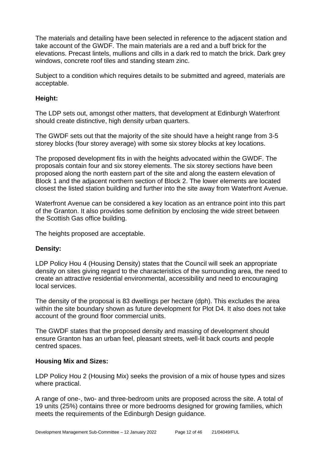The materials and detailing have been selected in reference to the adjacent station and take account of the GWDF. The main materials are a red and a buff brick for the elevations. Precast lintels, mullions and cills in a dark red to match the brick. Dark grey windows, concrete roof tiles and standing steam zinc.

Subject to a condition which requires details to be submitted and agreed, materials are acceptable.

## **Height:**

The LDP sets out, amongst other matters, that development at Edinburgh Waterfront should create distinctive, high density urban quarters.

The GWDF sets out that the majority of the site should have a height range from 3-5 storey blocks (four storey average) with some six storey blocks at key locations.

The proposed development fits in with the heights advocated within the GWDF. The proposals contain four and six storey elements. The six storey sections have been proposed along the north eastern part of the site and along the eastern elevation of Block 1 and the adjacent northern section of Block 2. The lower elements are located closest the listed station building and further into the site away from Waterfront Avenue.

Waterfront Avenue can be considered a key location as an entrance point into this part of the Granton. It also provides some definition by enclosing the wide street between the Scottish Gas office building.

The heights proposed are acceptable.

# **Density:**

LDP Policy Hou 4 (Housing Density) states that the Council will seek an appropriate density on sites giving regard to the characteristics of the surrounding area, the need to create an attractive residential environmental, accessibility and need to encouraging local services.

The density of the proposal is 83 dwellings per hectare (dph). This excludes the area within the site boundary shown as future development for Plot D4. It also does not take account of the ground floor commercial units.

The GWDF states that the proposed density and massing of development should ensure Granton has an urban feel, pleasant streets, well-lit back courts and people centred spaces.

#### **Housing Mix and Sizes:**

LDP Policy Hou 2 (Housing Mix) seeks the provision of a mix of house types and sizes where practical.

A range of one-, two- and three-bedroom units are proposed across the site. A total of 19 units (25%) contains three or more bedrooms designed for growing families, which meets the requirements of the Edinburgh Design guidance.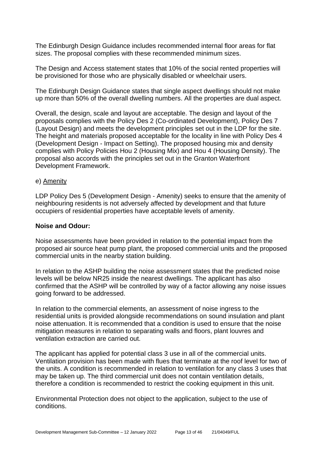The Edinburgh Design Guidance includes recommended internal floor areas for flat sizes. The proposal complies with these recommended minimum sizes.

The Design and Access statement states that 10% of the social rented properties will be provisioned for those who are physically disabled or wheelchair users.

The Edinburgh Design Guidance states that single aspect dwellings should not make up more than 50% of the overall dwelling numbers. All the properties are dual aspect.

Overall, the design, scale and layout are acceptable. The design and layout of the proposals complies with the Policy Des 2 (Co-ordinated Development), Policy Des 7 (Layout Design) and meets the development principles set out in the LDP for the site. The height and materials proposed acceptable for the locality in line with Policy Des 4 (Development Design - Impact on Setting). The proposed housing mix and density complies with Policy Policies Hou 2 (Housing Mix) and Hou 4 (Housing Density). The proposal also accords with the principles set out in the Granton Waterfront Development Framework.

#### e) Amenity

LDP Policy Des 5 (Development Design - Amenity) seeks to ensure that the amenity of neighbouring residents is not adversely affected by development and that future occupiers of residential properties have acceptable levels of amenity.

#### **Noise and Odour:**

Noise assessments have been provided in relation to the potential impact from the proposed air source heat pump plant, the proposed commercial units and the proposed commercial units in the nearby station building.

In relation to the ASHP building the noise assessment states that the predicted noise levels will be below NR25 inside the nearest dwellings. The applicant has also confirmed that the ASHP will be controlled by way of a factor allowing any noise issues going forward to be addressed.

In relation to the commercial elements, an assessment of noise ingress to the residential units is provided alongside recommendations on sound insulation and plant noise attenuation. It is recommended that a condition is used to ensure that the noise mitigation measures in relation to separating walls and floors, plant louvres and ventilation extraction are carried out.

The applicant has applied for potential class 3 use in all of the commercial units. Ventilation provision has been made with flues that terminate at the roof level for two of the units. A condition is recommended in relation to ventilation for any class 3 uses that may be taken up. The third commercial unit does not contain ventilation details, therefore a condition is recommended to restrict the cooking equipment in this unit.

Environmental Protection does not object to the application, subject to the use of conditions.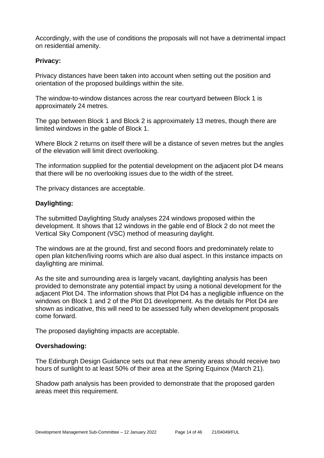Accordingly, with the use of conditions the proposals will not have a detrimental impact on residential amenity.

#### **Privacy:**

Privacy distances have been taken into account when setting out the position and orientation of the proposed buildings within the site.

The window-to-window distances across the rear courtyard between Block 1 is approximately 24 metres.

The gap between Block 1 and Block 2 is approximately 13 metres, though there are limited windows in the gable of Block 1.

Where Block 2 returns on itself there will be a distance of seven metres but the angles of the elevation will limit direct overlooking.

The information supplied for the potential development on the adjacent plot D4 means that there will be no overlooking issues due to the width of the street.

The privacy distances are acceptable.

#### **Daylighting:**

The submitted Daylighting Study analyses 224 windows proposed within the development. It shows that 12 windows in the gable end of Block 2 do not meet the Vertical Sky Component (VSC) method of measuring daylight.

The windows are at the ground, first and second floors and predominately relate to open plan kitchen/living rooms which are also dual aspect. In this instance impacts on daylighting are minimal.

As the site and surrounding area is largely vacant, daylighting analysis has been provided to demonstrate any potential impact by using a notional development for the adjacent Plot D4. The information shows that Plot D4 has a negligible influence on the windows on Block 1 and 2 of the Plot D1 development. As the details for Plot D4 are shown as indicative, this will need to be assessed fully when development proposals come forward.

The proposed daylighting impacts are acceptable.

#### **Overshadowing:**

The Edinburgh Design Guidance sets out that new amenity areas should receive two hours of sunlight to at least 50% of their area at the Spring Equinox (March 21).

Shadow path analysis has been provided to demonstrate that the proposed garden areas meet this requirement.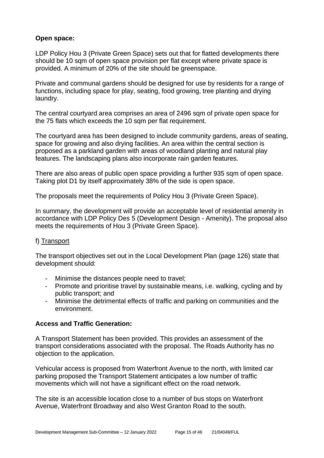#### **Open space:**

LDP Policy Hou 3 (Private Green Space) sets out that for flatted developments there should be 10 sqm of open space provision per flat except where private space is provided. A minimum of 20% of the site should be greenspace.

Private and communal gardens should be designed for use by residents for a range of functions, including space for play, seating, food growing, tree planting and drying laundry.

The central courtyard area comprises an area of 2496 sqm of private open space for the 75 flats which exceeds the 10 sqm per flat requirement.

The courtyard area has been designed to include community gardens, areas of seating, space for growing and also drying facilities. An area within the central section is proposed as a parkland garden with areas of woodland planting and natural play features. The landscaping plans also incorporate rain garden features.

There are also areas of public open space providing a further 935 sqm of open space. Taking plot D1 by itself approximately 38% of the side is open space.

The proposals meet the requirements of Policy Hou 3 (Private Green Space).

In summary, the development will provide an acceptable level of residential amenity in accordance with LDP Policy Des 5 (Development Design - Amenity). The proposal also meets the requirements of Hou 3 (Private Green Space).

#### f) Transport

The transport objectives set out in the Local Development Plan (page 126) state that development should:

- Minimise the distances people need to travel;
- Promote and prioritise travel by sustainable means, i.e. walking, cycling and by public transport; and
- Minimise the detrimental effects of traffic and parking on communities and the environment.

#### **Access and Traffic Generation:**

A Transport Statement has been provided. This provides an assessment of the transport considerations associated with the proposal. The Roads Authority has no objection to the application.

Vehicular access is proposed from Waterfront Avenue to the north, with limited car parking proposed the Transport Statement anticipates a low number of traffic movements which will not have a significant effect on the road network.

The site is an accessible location close to a number of bus stops on Waterfront Avenue, Waterfront Broadway and also West Granton Road to the south.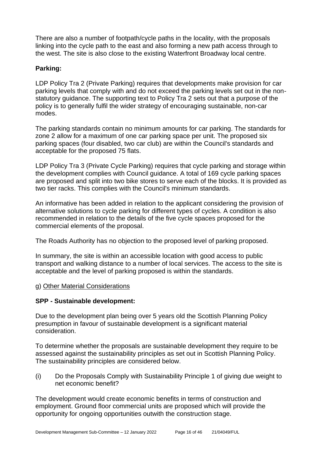There are also a number of footpath/cycle paths in the locality, with the proposals linking into the cycle path to the east and also forming a new path access through to the west. The site is also close to the existing Waterfront Broadway local centre.

# **Parking:**

LDP Policy Tra 2 (Private Parking) requires that developments make provision for car parking levels that comply with and do not exceed the parking levels set out in the nonstatutory guidance. The supporting text to Policy Tra 2 sets out that a purpose of the policy is to generally fulfil the wider strategy of encouraging sustainable, non-car modes.

The parking standards contain no minimum amounts for car parking. The standards for zone 2 allow for a maximum of one car parking space per unit. The proposed six parking spaces (four disabled, two car club) are within the Council's standards and acceptable for the proposed 75 flats.

LDP Policy Tra 3 (Private Cycle Parking) requires that cycle parking and storage within the development complies with Council guidance. A total of 169 cycle parking spaces are proposed and split into two bike stores to serve each of the blocks. It is provided as two tier racks. This complies with the Council's minimum standards.

An informative has been added in relation to the applicant considering the provision of alternative solutions to cycle parking for different types of cycles. A condition is also recommended in relation to the details of the five cycle spaces proposed for the commercial elements of the proposal.

The Roads Authority has no objection to the proposed level of parking proposed.

In summary, the site is within an accessible location with good access to public transport and walking distance to a number of local services. The access to the site is acceptable and the level of parking proposed is within the standards.

#### g) Other Material Considerations

#### **SPP - Sustainable development:**

Due to the development plan being over 5 years old the Scottish Planning Policy presumption in favour of sustainable development is a significant material consideration.

To determine whether the proposals are sustainable development they require to be assessed against the sustainability principles as set out in Scottish Planning Policy. The sustainability principles are considered below.

(i) Do the Proposals Comply with Sustainability Principle 1 of giving due weight to net economic benefit?

The development would create economic benefits in terms of construction and employment. Ground floor commercial units are proposed which will provide the opportunity for ongoing opportunities outwith the construction stage.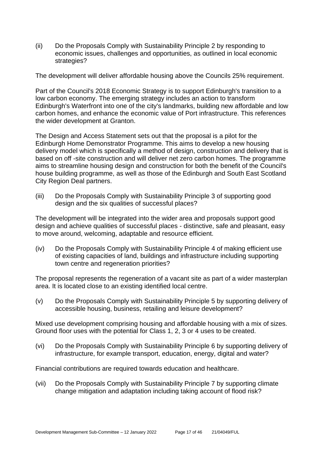(ii) Do the Proposals Comply with Sustainability Principle 2 by responding to economic issues, challenges and opportunities, as outlined in local economic strategies?

The development will deliver affordable housing above the Councils 25% requirement.

Part of the Council's 2018 Economic Strategy is to support Edinburgh's transition to a low carbon economy. The emerging strategy includes an action to transform Edinburgh's Waterfront into one of the city's landmarks, building new affordable and low carbon homes, and enhance the economic value of Port infrastructure. This references the wider development at Granton.

The Design and Access Statement sets out that the proposal is a pilot for the Edinburgh Home Demonstrator Programme. This aims to develop a new housing delivery model which is specifically a method of design, construction and delivery that is based on off -site construction and will deliver net zero carbon homes. The programme aims to streamline housing design and construction for both the benefit of the Council's house building programme, as well as those of the Edinburgh and South East Scotland City Region Deal partners.

(iii) Do the Proposals Comply with Sustainability Principle 3 of supporting good design and the six qualities of successful places?

The development will be integrated into the wider area and proposals support good design and achieve qualities of successful places - distinctive, safe and pleasant, easy to move around, welcoming, adaptable and resource efficient.

(iv) Do the Proposals Comply with Sustainability Principle 4 of making efficient use of existing capacities of land, buildings and infrastructure including supporting town centre and regeneration priorities?

The proposal represents the regeneration of a vacant site as part of a wider masterplan area. It is located close to an existing identified local centre.

(v) Do the Proposals Comply with Sustainability Principle 5 by supporting delivery of accessible housing, business, retailing and leisure development?

Mixed use development comprising housing and affordable housing with a mix of sizes. Ground floor uses with the potential for Class 1, 2, 3 or 4 uses to be created.

(vi) Do the Proposals Comply with Sustainability Principle 6 by supporting delivery of infrastructure, for example transport, education, energy, digital and water?

Financial contributions are required towards education and healthcare.

(vii) Do the Proposals Comply with Sustainability Principle 7 by supporting climate change mitigation and adaptation including taking account of flood risk?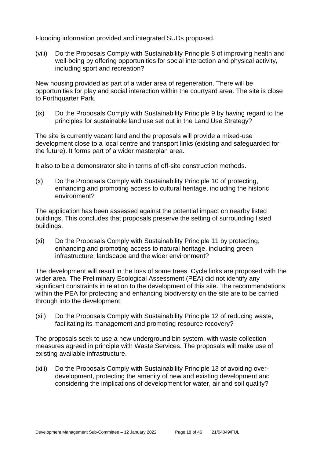Flooding information provided and integrated SUDs proposed.

(viii) Do the Proposals Comply with Sustainability Principle 8 of improving health and well-being by offering opportunities for social interaction and physical activity, including sport and recreation?

New housing provided as part of a wider area of regeneration. There will be opportunities for play and social interaction within the courtyard area. The site is close to Forthquarter Park.

(ix) Do the Proposals Comply with Sustainability Principle 9 by having regard to the principles for sustainable land use set out in the Land Use Strategy?

The site is currently vacant land and the proposals will provide a mixed-use development close to a local centre and transport links (existing and safeguarded for the future). It forms part of a wider masterplan area.

It also to be a demonstrator site in terms of off-site construction methods.

(x) Do the Proposals Comply with Sustainability Principle 10 of protecting, enhancing and promoting access to cultural heritage, including the historic environment?

The application has been assessed against the potential impact on nearby listed buildings. This concludes that proposals preserve the setting of surrounding listed buildings.

(xi) Do the Proposals Comply with Sustainability Principle 11 by protecting, enhancing and promoting access to natural heritage, including green infrastructure, landscape and the wider environment?

The development will result in the loss of some trees. Cycle links are proposed with the wider area. The Preliminary Ecological Assessment (PEA) did not identify any significant constraints in relation to the development of this site. The recommendations within the PEA for protecting and enhancing biodiversity on the site are to be carried through into the development.

(xii) Do the Proposals Comply with Sustainability Principle 12 of reducing waste, facilitating its management and promoting resource recovery?

The proposals seek to use a new underground bin system, with waste collection measures agreed in principle with Waste Services. The proposals will make use of existing available infrastructure.

(xiii) Do the Proposals Comply with Sustainability Principle 13 of avoiding overdevelopment, protecting the amenity of new and existing development and considering the implications of development for water, air and soil quality?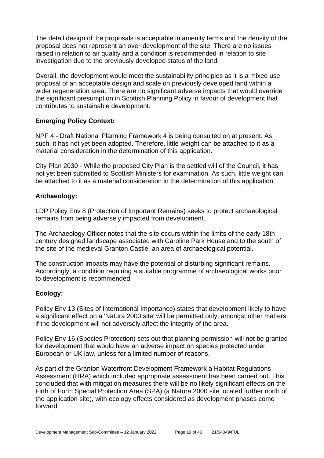The detail design of the proposals is acceptable in amenity terms and the density of the proposal does not represent an over-development of the site. There are no issues raised in relation to air quality and a condition is recommended in relation to site investigation due to the previously developed status of the land.

Overall, the development would meet the sustainability principles as it is a mixed use proposal of an acceptable design and scale on previously developed land within a wider regeneration area. There are no significant adverse impacts that would override the significant presumption in Scottish Planning Policy in favour of development that contributes to sustainable development.

#### **Emerging Policy Context:**

NPF 4 - Draft National Planning Framework 4 is being consulted on at present. As such, it has not yet been adopted. Therefore, little weight can be attached to it as a material consideration in the determination of this application.

City Plan 2030 - While the proposed City Plan is the settled will of the Council, it has not yet been submitted to Scottish Ministers for examination. As such, little weight can be attached to it as a material consideration in the determination of this application.

#### **Archaeology:**

LDP Policy Env 8 (Protection of Important Remains) seeks to protect archaeological remains from being adversely impacted from development.

The Archaeology Officer notes that the site occurs within the limits of the early 18th century designed landscape associated with Caroline Park House and to the south of the site of the medieval Granton Castle, an area of archaeological potential.

The construction impacts may have the potential of disturbing significant remains. Accordingly, a condition requiring a suitable programme of archaeological works prior to development is recommended.

#### **Ecology:**

Policy Env 13 (Sites of International Importance) states that development likely to have a significant effect on a 'Natura 2000 site' will be permitted only, amongst other matters, if the development will not adversely affect the integrity of the area.

Policy Env 16 (Species Protection) sets out that planning permission will not be granted for development that would have an adverse impact on species protected under European or UK law, unless for a limited number of reasons.

As part of the Granton Waterfront Development Framework a Habitat Regulations Assessment (HRA) which included appropriate assessment has been carried out. This concluded that with mitigation measures there will be no likely significant effects on the Firth of Forth Special Protection Area (SPA) (a Natura 2000 site located further north of the application site), with ecology effects considered as development phases come forward.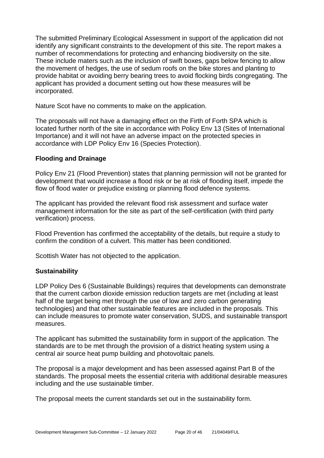The submitted Preliminary Ecological Assessment in support of the application did not identify any significant constraints to the development of this site. The report makes a number of recommendations for protecting and enhancing biodiversity on the site. These include maters such as the inclusion of swift boxes, gaps below fencing to allow the movement of hedges, the use of sedum roofs on the bike stores and planting to provide habitat or avoiding berry bearing trees to avoid flocking birds congregating. The applicant has provided a document setting out how these measures will be incorporated.

Nature Scot have no comments to make on the application.

The proposals will not have a damaging effect on the Firth of Forth SPA which is located further north of the site in accordance with Policy Env 13 (Sites of International Importance) and it will not have an adverse impact on the protected species in accordance with LDP Policy Env 16 (Species Protection).

#### **Flooding and Drainage**

Policy Env 21 (Flood Prevention) states that planning permission will not be granted for development that would increase a flood risk or be at risk of flooding itself, impede the flow of flood water or prejudice existing or planning flood defence systems.

The applicant has provided the relevant flood risk assessment and surface water management information for the site as part of the self-certification (with third party verification) process.

Flood Prevention has confirmed the acceptability of the details, but require a study to confirm the condition of a culvert. This matter has been conditioned.

Scottish Water has not objected to the application.

#### **Sustainability**

LDP Policy Des 6 (Sustainable Buildings) requires that developments can demonstrate that the current carbon dioxide emission reduction targets are met (including at least half of the target being met through the use of low and zero carbon generating technologies) and that other sustainable features are included in the proposals. This can include measures to promote water conservation, SUDS, and sustainable transport measures.

The applicant has submitted the sustainability form in support of the application. The standards are to be met through the provision of a district heating system using a central air source heat pump building and photovoltaic panels.

The proposal is a major development and has been assessed against Part B of the standards. The proposal meets the essential criteria with additional desirable measures including and the use sustainable timber.

The proposal meets the current standards set out in the sustainability form.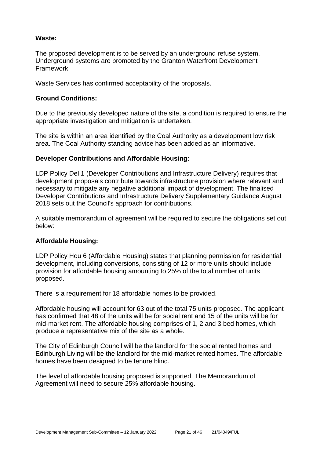#### **Waste:**

The proposed development is to be served by an underground refuse system. Underground systems are promoted by the Granton Waterfront Development Framework.

Waste Services has confirmed acceptability of the proposals.

#### **Ground Conditions:**

Due to the previously developed nature of the site, a condition is required to ensure the appropriate investigation and mitigation is undertaken.

The site is within an area identified by the Coal Authority as a development low risk area. The Coal Authority standing advice has been added as an informative.

#### **Developer Contributions and Affordable Housing:**

LDP Policy Del 1 (Developer Contributions and Infrastructure Delivery) requires that development proposals contribute towards infrastructure provision where relevant and necessary to mitigate any negative additional impact of development. The finalised Developer Contributions and Infrastructure Delivery Supplementary Guidance August 2018 sets out the Council's approach for contributions.

A suitable memorandum of agreement will be required to secure the obligations set out below:

#### **Affordable Housing:**

LDP Policy Hou 6 (Affordable Housing) states that planning permission for residential development, including conversions, consisting of 12 or more units should include provision for affordable housing amounting to 25% of the total number of units proposed.

There is a requirement for 18 affordable homes to be provided.

Affordable housing will account for 63 out of the total 75 units proposed. The applicant has confirmed that 48 of the units will be for social rent and 15 of the units will be for mid-market rent. The affordable housing comprises of 1, 2 and 3 bed homes, which produce a representative mix of the site as a whole.

The City of Edinburgh Council will be the landlord for the social rented homes and Edinburgh Living will be the landlord for the mid-market rented homes. The affordable homes have been designed to be tenure blind.

The level of affordable housing proposed is supported. The Memorandum of Agreement will need to secure 25% affordable housing.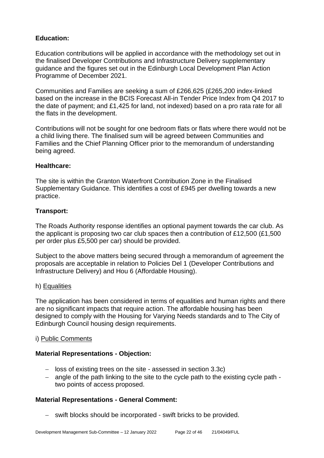# **Education:**

Education contributions will be applied in accordance with the methodology set out in the finalised Developer Contributions and Infrastructure Delivery supplementary guidance and the figures set out in the Edinburgh Local Development Plan Action Programme of December 2021.

Communities and Families are seeking a sum of £266,625 (£265,200 index-linked based on the increase in the BCIS Forecast All-in Tender Price Index from Q4 2017 to the date of payment; and £1,425 for land, not indexed) based on a pro rata rate for all the flats in the development.

Contributions will not be sought for one bedroom flats or flats where there would not be a child living there. The finalised sum will be agreed between Communities and Families and the Chief Planning Officer prior to the memorandum of understanding being agreed.

#### **Healthcare:**

The site is within the Granton Waterfront Contribution Zone in the Finalised Supplementary Guidance. This identifies a cost of £945 per dwelling towards a new practice.

#### **Transport:**

The Roads Authority response identifies an optional payment towards the car club. As the applicant is proposing two car club spaces then a contribution of £12,500 (£1,500 per order plus £5,500 per car) should be provided.

Subject to the above matters being secured through a memorandum of agreement the proposals are acceptable in relation to Policies Del 1 (Developer Contributions and Infrastructure Delivery) and Hou 6 (Affordable Housing).

#### h) Equalities

The application has been considered in terms of equalities and human rights and there are no significant impacts that require action. The affordable housing has been designed to comply with the Housing for Varying Needs standards and to The City of Edinburgh Council housing design requirements.

#### i) Public Comments

#### **Material Representations - Objection:**

- − loss of existing trees on the site assessed in section 3.3c)
- − angle of the path linking to the site to the cycle path to the existing cycle path two points of access proposed.

# **Material Representations - General Comment:**

− swift blocks should be incorporated - swift bricks to be provided.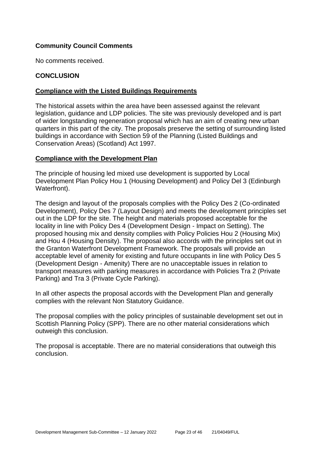# **Community Council Comments**

No comments received.

## **CONCLUSION**

## **Compliance with the Listed Buildings Requirements**

The historical assets within the area have been assessed against the relevant legislation, guidance and LDP policies. The site was previously developed and is part of wider longstanding regeneration proposal which has an aim of creating new urban quarters in this part of the city. The proposals preserve the setting of surrounding listed buildings in accordance with Section 59 of the Planning (Listed Buildings and Conservation Areas) (Scotland) Act 1997.

#### **Compliance with the Development Plan**

The principle of housing led mixed use development is supported by Local Development Plan Policy Hou 1 (Housing Development) and Policy Del 3 (Edinburgh Waterfront).

The design and layout of the proposals complies with the Policy Des 2 (Co-ordinated Development), Policy Des 7 (Layout Design) and meets the development principles set out in the LDP for the site. The height and materials proposed acceptable for the locality in line with Policy Des 4 (Development Design - Impact on Setting). The proposed housing mix and density complies with Policy Policies Hou 2 (Housing Mix) and Hou 4 (Housing Density). The proposal also accords with the principles set out in the Granton Waterfront Development Framework. The proposals will provide an acceptable level of amenity for existing and future occupants in line with Policy Des 5 (Development Design - Amenity) There are no unacceptable issues in relation to transport measures with parking measures in accordance with Policies Tra 2 (Private Parking) and Tra 3 (Private Cycle Parking).

In all other aspects the proposal accords with the Development Plan and generally complies with the relevant Non Statutory Guidance.

The proposal complies with the policy principles of sustainable development set out in Scottish Planning Policy (SPP). There are no other material considerations which outweigh this conclusion.

The proposal is acceptable. There are no material considerations that outweigh this conclusion.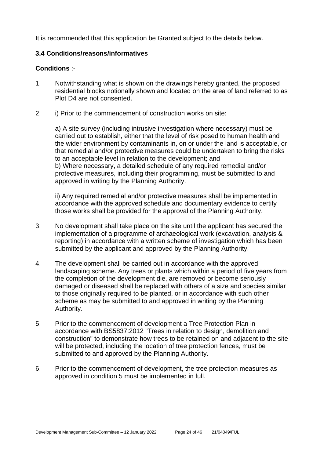It is recommended that this application be Granted subject to the details below.

#### **3.4 Conditions/reasons/informatives**

#### **Conditions** :-

- 1. Notwithstanding what is shown on the drawings hereby granted, the proposed residential blocks notionally shown and located on the area of land referred to as Plot D4 are not consented.
- 2. i) Prior to the commencement of construction works on site:

a) A site survey (including intrusive investigation where necessary) must be carried out to establish, either that the level of risk posed to human health and the wider environment by contaminants in, on or under the land is acceptable, or that remedial and/or protective measures could be undertaken to bring the risks to an acceptable level in relation to the development; and b) Where necessary, a detailed schedule of any required remedial and/or protective measures, including their programming, must be submitted to and approved in writing by the Planning Authority.

ii) Any required remedial and/or protective measures shall be implemented in accordance with the approved schedule and documentary evidence to certify those works shall be provided for the approval of the Planning Authority.

- 3. No development shall take place on the site until the applicant has secured the implementation of a programme of archaeological work (excavation, analysis & reporting) in accordance with a written scheme of investigation which has been submitted by the applicant and approved by the Planning Authority.
- 4. The development shall be carried out in accordance with the approved landscaping scheme. Any trees or plants which within a period of five years from the completion of the development die, are removed or become seriously damaged or diseased shall be replaced with others of a size and species similar to those originally required to be planted, or in accordance with such other scheme as may be submitted to and approved in writing by the Planning Authority.
- 5. Prior to the commencement of development a Tree Protection Plan in accordance with BS5837:2012 "Trees in relation to design, demolition and construction" to demonstrate how trees to be retained on and adjacent to the site will be protected, including the location of tree protection fences, must be submitted to and approved by the Planning Authority.
- 6. Prior to the commencement of development, the tree protection measures as approved in condition 5 must be implemented in full.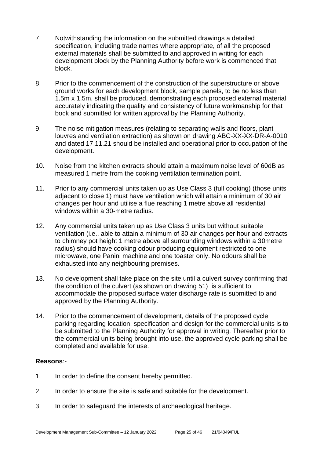- 7. Notwithstanding the information on the submitted drawings a detailed specification, including trade names where appropriate, of all the proposed external materials shall be submitted to and approved in writing for each development block by the Planning Authority before work is commenced that block.
- 8. Prior to the commencement of the construction of the superstructure or above ground works for each development block, sample panels, to be no less than 1.5m x 1.5m, shall be produced, demonstrating each proposed external material accurately indicating the quality and consistency of future workmanship for that bock and submitted for written approval by the Planning Authority.
- 9. The noise mitigation measures (relating to separating walls and floors, plant louvres and ventilation extraction) as shown on drawing ABC-XX-XX-DR-A-0010 and dated 17.11.21 should be installed and operational prior to occupation of the development.
- 10. Noise from the kitchen extracts should attain a maximum noise level of 60dB as measured 1 metre from the cooking ventilation termination point.
- 11. Prior to any commercial units taken up as Use Class 3 (full cooking) (those units adjacent to close 1) must have ventilation which will attain a minimum of 30 air changes per hour and utilise a flue reaching 1 metre above all residential windows within a 30-metre radius.
- 12. Any commercial units taken up as Use Class 3 units but without suitable ventilation (i.e., able to attain a minimum of 30 air changes per hour and extracts to chimney pot height 1 metre above all surrounding windows within a 30metre radius) should have cooking odour producing equipment restricted to one microwave, one Panini machine and one toaster only. No odours shall be exhausted into any neighbouring premises.
- 13. No development shall take place on the site until a culvert survey confirming that the condition of the culvert (as shown on drawing 51) is sufficient to accommodate the proposed surface water discharge rate is submitted to and approved by the Planning Authority.
- 14. Prior to the commencement of development, details of the proposed cycle parking regarding location, specification and design for the commercial units is to be submitted to the Planning Authority for approval in writing. Thereafter prior to the commercial units being brought into use, the approved cycle parking shall be completed and available for use.

#### **Reasons**:-

- 1. In order to define the consent hereby permitted.
- 2. In order to ensure the site is safe and suitable for the development.
- 3. In order to safeguard the interests of archaeological heritage.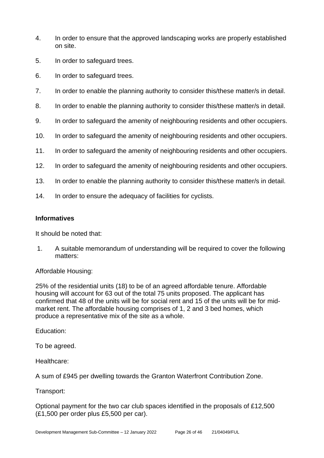- 4. In order to ensure that the approved landscaping works are properly established on site.
- 5. In order to safeguard trees.
- 6. In order to safeguard trees.
- 7. In order to enable the planning authority to consider this/these matter/s in detail.
- 8. In order to enable the planning authority to consider this/these matter/s in detail.
- 9. In order to safeguard the amenity of neighbouring residents and other occupiers.
- 10. In order to safeguard the amenity of neighbouring residents and other occupiers.
- 11. In order to safeguard the amenity of neighbouring residents and other occupiers.
- 12. In order to safeguard the amenity of neighbouring residents and other occupiers.
- 13. In order to enable the planning authority to consider this/these matter/s in detail.
- 14. In order to ensure the adequacy of facilities for cyclists.

#### **Informatives**

It should be noted that:

1. A suitable memorandum of understanding will be required to cover the following matters:

# Affordable Housing:

25% of the residential units (18) to be of an agreed affordable tenure. Affordable housing will account for 63 out of the total 75 units proposed. The applicant has confirmed that 48 of the units will be for social rent and 15 of the units will be for midmarket rent. The affordable housing comprises of 1, 2 and 3 bed homes, which produce a representative mix of the site as a whole.

# Education:

To be agreed.

Healthcare:

A sum of £945 per dwelling towards the Granton Waterfront Contribution Zone.

#### Transport:

Optional payment for the two car club spaces identified in the proposals of £12,500 (£1,500 per order plus £5,500 per car).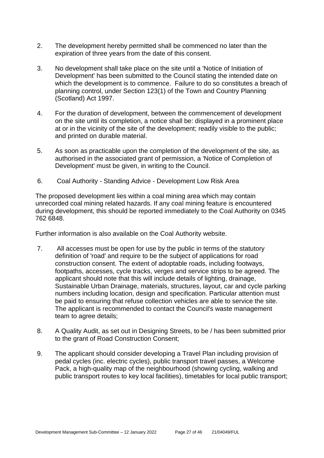- 2. The development hereby permitted shall be commenced no later than the expiration of three years from the date of this consent.
- 3. No development shall take place on the site until a 'Notice of Initiation of Development' has been submitted to the Council stating the intended date on which the development is to commence. Failure to do so constitutes a breach of planning control, under Section 123(1) of the Town and Country Planning (Scotland) Act 1997.
- 4. For the duration of development, between the commencement of development on the site until its completion, a notice shall be: displayed in a prominent place at or in the vicinity of the site of the development; readily visible to the public; and printed on durable material.
- 5. As soon as practicable upon the completion of the development of the site, as authorised in the associated grant of permission, a 'Notice of Completion of Development' must be given, in writing to the Council.
- 6. Coal Authority Standing Advice Development Low Risk Area

The proposed development lies within a coal mining area which may contain unrecorded coal mining related hazards. If any coal mining feature is encountered during development, this should be reported immediately to the Coal Authority on 0345 762 6848.

Further information is also available on the Coal Authority website.

- 7. All accesses must be open for use by the public in terms of the statutory definition of 'road' and require to be the subject of applications for road construction consent. The extent of adoptable roads, including footways, footpaths, accesses, cycle tracks, verges and service strips to be agreed. The applicant should note that this will include details of lighting, drainage, Sustainable Urban Drainage, materials, structures, layout, car and cycle parking numbers including location, design and specification. Particular attention must be paid to ensuring that refuse collection vehicles are able to service the site. The applicant is recommended to contact the Council's waste management team to agree details;
- 8. A Quality Audit, as set out in Designing Streets, to be / has been submitted prior to the grant of Road Construction Consent;
- 9. The applicant should consider developing a Travel Plan including provision of pedal cycles (inc. electric cycles), public transport travel passes, a Welcome Pack, a high-quality map of the neighbourhood (showing cycling, walking and public transport routes to key local facilities), timetables for local public transport;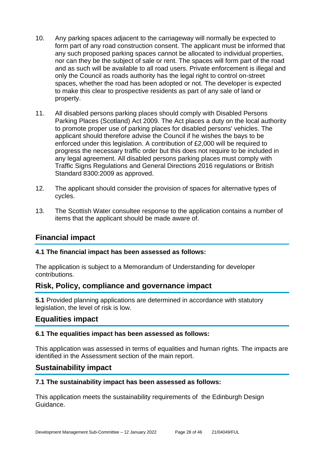- 10. Any parking spaces adjacent to the carriageway will normally be expected to form part of any road construction consent. The applicant must be informed that any such proposed parking spaces cannot be allocated to individual properties, nor can they be the subject of sale or rent. The spaces will form part of the road and as such will be available to all road users. Private enforcement is illegal and only the Council as roads authority has the legal right to control on-street spaces, whether the road has been adopted or not. The developer is expected to make this clear to prospective residents as part of any sale of land or property.
- 11. All disabled persons parking places should comply with Disabled Persons Parking Places (Scotland) Act 2009. The Act places a duty on the local authority to promote proper use of parking places for disabled persons' vehicles. The applicant should therefore advise the Council if he wishes the bays to be enforced under this legislation. A contribution of £2,000 will be required to progress the necessary traffic order but this does not require to be included in any legal agreement. All disabled persons parking places must comply with Traffic Signs Regulations and General Directions 2016 regulations or British Standard 8300:2009 as approved.
- 12. The applicant should consider the provision of spaces for alternative types of cycles.
- 13. The Scottish Water consultee response to the application contains a number of items that the applicant should be made aware of.

# **Financial impact**

#### **4.1 The financial impact has been assessed as follows:**

The application is subject to a Memorandum of Understanding for developer contributions.

# **Risk, Policy, compliance and governance impact**

**5.1** Provided planning applications are determined in accordance with statutory legislation, the level of risk is low.

# **Equalities impact**

#### **6.1 The equalities impact has been assessed as follows:**

This application was assessed in terms of equalities and human rights. The impacts are identified in the Assessment section of the main report.

# **Sustainability impact**

#### **7.1 The sustainability impact has been assessed as follows:**

This application meets the sustainability requirements of the Edinburgh Design Guidance.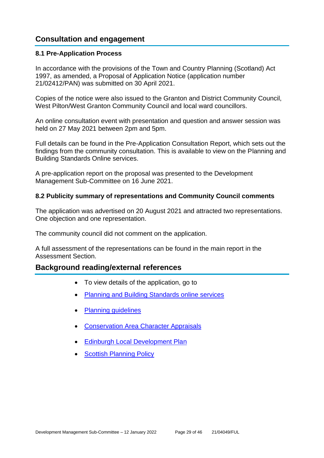# **Consultation and engagement**

#### **8.1 Pre-Application Process**

In accordance with the provisions of the Town and Country Planning (Scotland) Act 1997, as amended, a Proposal of Application Notice (application number 21/02412/PAN) was submitted on 30 April 2021.

Copies of the notice were also issued to the Granton and District Community Council, West Pilton/West Granton Community Council and local ward councillors.

An online consultation event with presentation and question and answer session was held on 27 May 2021 between 2pm and 5pm.

Full details can be found in the Pre-Application Consultation Report, which sets out the findings from the community consultation. This is available to view on the Planning and Building Standards Online services.

A pre-application report on the proposal was presented to the Development Management Sub-Committee on 16 June 2021.

#### **8.2 Publicity summary of representations and Community Council comments**

The application was advertised on 20 August 2021 and attracted two representations. One objection and one representation.

The community council did not comment on the application.

A full assessment of the representations can be found in the main report in the Assessment Section.

# **Background reading/external references**

- To view details of the application, go to
- [Planning and Building Standards online services](https://citydev-portal.edinburgh.gov.uk/idoxpa-web/search.do?action=simple&searchType=Application)
- [Planning guidelines](http://www.edinburgh.gov.uk/planningguidelines)
- [Conservation Area Character Appraisals](http://www.edinburgh.gov.uk/characterappraisals)
- [Edinburgh Local Development Plan](http://www.edinburgh.gov.uk/localdevelopmentplan)
- [Scottish Planning Policy](http://www.scotland.gov.uk/Topics/Built-Environment/planning/Policy)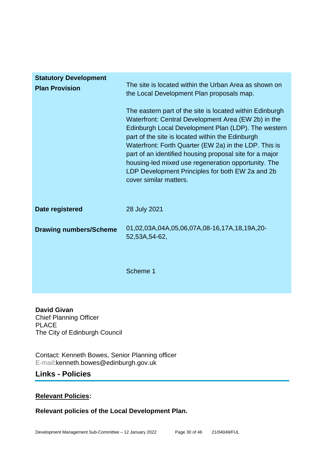| <b>Statutory Development</b><br><b>Plan Provision</b> | The site is located within the Urban Area as shown on<br>the Local Development Plan proposals map.<br>The eastern part of the site is located within Edinburgh<br>Waterfront: Central Development Area (EW 2b) in the<br>Edinburgh Local Development Plan (LDP). The western<br>part of the site is located within the Edinburgh<br>Waterfront: Forth Quarter (EW 2a) in the LDP. This is<br>part of an identified housing proposal site for a major<br>housing-led mixed use regeneration opportunity. The<br>LDP Development Principles for both EW 2a and 2b<br>cover similar matters. |
|-------------------------------------------------------|-------------------------------------------------------------------------------------------------------------------------------------------------------------------------------------------------------------------------------------------------------------------------------------------------------------------------------------------------------------------------------------------------------------------------------------------------------------------------------------------------------------------------------------------------------------------------------------------|
| Date registered                                       | 28 July 2021                                                                                                                                                                                                                                                                                                                                                                                                                                                                                                                                                                              |
| <b>Drawing numbers/Scheme</b>                         | 01,02,03A,04A,05,06,07A,08-16,17A,18,19A,20-<br>52,53A,54-62,                                                                                                                                                                                                                                                                                                                                                                                                                                                                                                                             |
|                                                       | Scheme 1                                                                                                                                                                                                                                                                                                                                                                                                                                                                                                                                                                                  |

**David Givan** Chief Planning Officer PLACE The City of Edinburgh Council

Contact: Kenneth Bowes, Senior Planning officer E-mail:kenneth.bowes@edinburgh.gov.uk

# **Links - Policies**

# **Relevant Policies:**

**Relevant policies of the Local Development Plan.**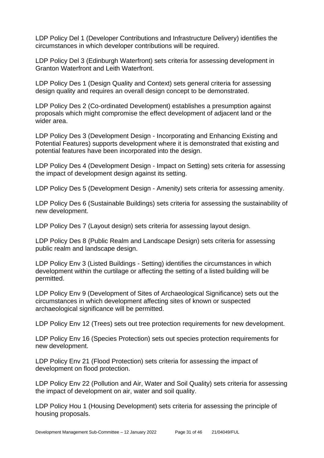LDP Policy Del 1 (Developer Contributions and Infrastructure Delivery) identifies the circumstances in which developer contributions will be required.

LDP Policy Del 3 (Edinburgh Waterfront) sets criteria for assessing development in Granton Waterfront and Leith Waterfront.

LDP Policy Des 1 (Design Quality and Context) sets general criteria for assessing design quality and requires an overall design concept to be demonstrated.

LDP Policy Des 2 (Co-ordinated Development) establishes a presumption against proposals which might compromise the effect development of adjacent land or the wider area.

LDP Policy Des 3 (Development Design - Incorporating and Enhancing Existing and Potential Features) supports development where it is demonstrated that existing and potential features have been incorporated into the design.

LDP Policy Des 4 (Development Design - Impact on Setting) sets criteria for assessing the impact of development design against its setting.

LDP Policy Des 5 (Development Design - Amenity) sets criteria for assessing amenity.

LDP Policy Des 6 (Sustainable Buildings) sets criteria for assessing the sustainability of new development.

LDP Policy Des 7 (Layout design) sets criteria for assessing layout design.

LDP Policy Des 8 (Public Realm and Landscape Design) sets criteria for assessing public realm and landscape design.

LDP Policy Env 3 (Listed Buildings - Setting) identifies the circumstances in which development within the curtilage or affecting the setting of a listed building will be permitted.

LDP Policy Env 9 (Development of Sites of Archaeological Significance) sets out the circumstances in which development affecting sites of known or suspected archaeological significance will be permitted.

LDP Policy Env 12 (Trees) sets out tree protection requirements for new development.

LDP Policy Env 16 (Species Protection) sets out species protection requirements for new development.

LDP Policy Env 21 (Flood Protection) sets criteria for assessing the impact of development on flood protection.

LDP Policy Env 22 (Pollution and Air, Water and Soil Quality) sets criteria for assessing the impact of development on air, water and soil quality.

LDP Policy Hou 1 (Housing Development) sets criteria for assessing the principle of housing proposals.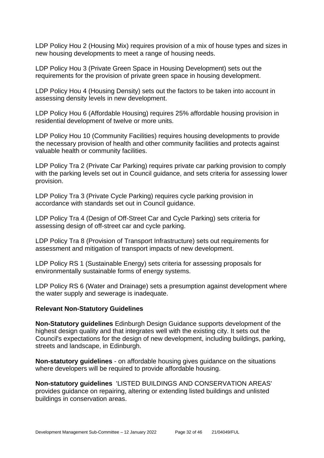LDP Policy Hou 2 (Housing Mix) requires provision of a mix of house types and sizes in new housing developments to meet a range of housing needs.

LDP Policy Hou 3 (Private Green Space in Housing Development) sets out the requirements for the provision of private green space in housing development.

LDP Policy Hou 4 (Housing Density) sets out the factors to be taken into account in assessing density levels in new development.

LDP Policy Hou 6 (Affordable Housing) requires 25% affordable housing provision in residential development of twelve or more units.

LDP Policy Hou 10 (Community Facilities) requires housing developments to provide the necessary provision of health and other community facilities and protects against valuable health or community facilities.

LDP Policy Tra 2 (Private Car Parking) requires private car parking provision to comply with the parking levels set out in Council guidance, and sets criteria for assessing lower provision.

LDP Policy Tra 3 (Private Cycle Parking) requires cycle parking provision in accordance with standards set out in Council guidance.

LDP Policy Tra 4 (Design of Off-Street Car and Cycle Parking) sets criteria for assessing design of off-street car and cycle parking.

LDP Policy Tra 8 (Provision of Transport Infrastructure) sets out requirements for assessment and mitigation of transport impacts of new development.

LDP Policy RS 1 (Sustainable Energy) sets criteria for assessing proposals for environmentally sustainable forms of energy systems.

LDP Policy RS 6 (Water and Drainage) sets a presumption against development where the water supply and sewerage is inadequate.

#### **Relevant Non-Statutory Guidelines**

**Non-Statutory guidelines** Edinburgh Design Guidance supports development of the highest design quality and that integrates well with the existing city. It sets out the Council's expectations for the design of new development, including buildings, parking, streets and landscape, in Edinburgh.

**Non-statutory guidelines** - on affordable housing gives guidance on the situations where developers will be required to provide affordable housing.

**Non-statutory guidelines** 'LISTED BUILDINGS AND CONSERVATION AREAS' provides guidance on repairing, altering or extending listed buildings and unlisted buildings in conservation areas.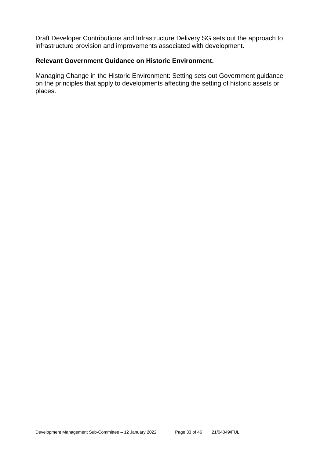Draft Developer Contributions and Infrastructure Delivery SG sets out the approach to infrastructure provision and improvements associated with development.

#### **Relevant Government Guidance on Historic Environment.**

Managing Change in the Historic Environment: Setting sets out Government guidance on the principles that apply to developments affecting the setting of historic assets or places.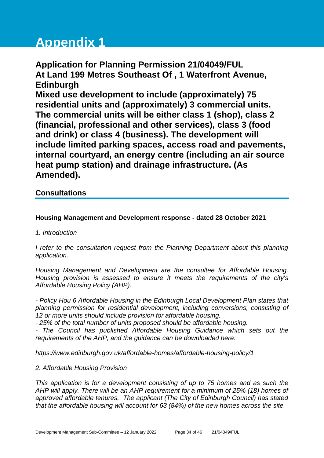# **Appendix 1**

**Application for Planning Permission 21/04049/FUL At Land 199 Metres Southeast Of , 1 Waterfront Avenue, Edinburgh Mixed use development to include (approximately) 75 residential units and (approximately) 3 commercial units. The commercial units will be either class 1 (shop), class 2 (financial, professional and other services), class 3 (food and drink) or class 4 (business). The development will include limited parking spaces, access road and pavements, internal courtyard, an energy centre (including an air source heat pump station) and drainage infrastructure. (As Amended).**

# **Consultations**

#### **Housing Management and Development response - dated 28 October 2021**

#### *1. Introduction*

*I refer to the consultation request from the Planning Department about this planning application.*

*Housing Management and Development are the consultee for Affordable Housing. Housing provision is assessed to ensure it meets the requirements of the city's Affordable Housing Policy (AHP).*

*- Policy Hou 6 Affordable Housing in the Edinburgh Local Development Plan states that planning permission for residential development, including conversions, consisting of 12 or more units should include provision for affordable housing.* 

*- 25% of the total number of units proposed should be affordable housing.* 

*- The Council has published Affordable Housing Guidance which sets out the requirements of the AHP, and the guidance can be downloaded here:*

*https://www.edinburgh.gov.uk/affordable-homes/affordable-housing-policy/1*

#### *2. Affordable Housing Provision*

*This application is for a development consisting of up to 75 homes and as such the AHP will apply. There will be an AHP requirement for a minimum of 25% (18) homes of approved affordable tenures. The applicant (The City of Edinburgh Council) has stated that the affordable housing will account for 63 (84%) of the new homes across the site.*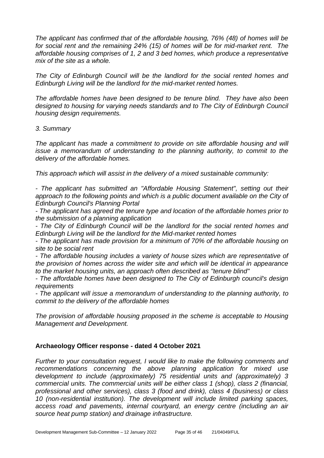*The applicant has confirmed that of the affordable housing, 76% (48) of homes will be for social rent and the remaining 24% (15) of homes will be for mid-market rent. The affordable housing comprises of 1, 2 and 3 bed homes, which produce a representative mix of the site as a whole.* 

*The City of Edinburgh Council will be the landlord for the social rented homes and Edinburgh Living will be the landlord for the mid-market rented homes.*

*The affordable homes have been designed to be tenure blind. They have also been designed to housing for varying needs standards and to The City of Edinburgh Council housing design requirements.* 

#### *3. Summary*

*The applicant has made a commitment to provide on site affordable housing and will issue a memorandum of understanding to the planning authority, to commit to the delivery of the affordable homes.* 

*This approach which will assist in the delivery of a mixed sustainable community:*

*- The applicant has submitted an "Affordable Housing Statement", setting out their approach to the following points and which is a public document available on the City of Edinburgh Council's Planning Portal*

*- The applicant has agreed the tenure type and location of the affordable homes prior to the submission of a planning application*

*- The City of Edinburgh Council will be the landlord for the social rented homes and Edinburgh Living will be the landlord for the Mid-market rented homes*

*- The applicant has made provision for a minimum of 70% of the affordable housing on site to be social rent*

*- The affordable housing includes a variety of house sizes which are representative of the provision of homes across the wider site and which will be identical in appearance to the market housing units, an approach often described as "tenure blind"*

*- The affordable homes have been designed to The City of Edinburgh council's design requirements*

*- The applicant will issue a memorandum of understanding to the planning authority, to commit to the delivery of the affordable homes*

*The provision of affordable housing proposed in the scheme is acceptable to Housing Management and Development.* 

#### **Archaeology Officer response - dated 4 October 2021**

*Further to your consultation request, I would like to make the following comments and recommendations concerning the above planning application for mixed use development to include (approximately) 75 residential units and (approximately) 3 commercial units. The commercial units will be either class 1 (shop), class 2 (financial, professional and other services), class 3 (food and drink), class 4 (business) or class 10 (non-residential institution). The development will include limited parking spaces, access road and pavements, internal courtyard, an energy centre (including an air source heat pump station) and drainage infrastructure.*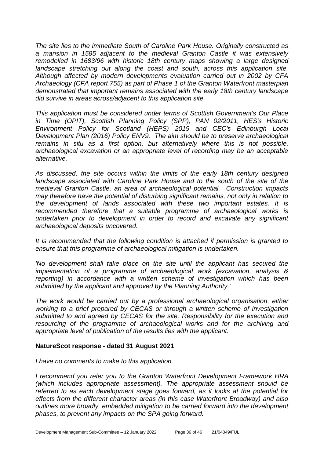*The site lies to the immediate South of Caroline Park House. Originally constructed as a mansion in 1585 adjacent to the medieval Granton Castle it was extensively remodelled in 1683/96 with historic 18th century maps showing a large designed*  landscape stretching out along the coast and south, across this application site. *Although affected by modern developments evaluation carried out in 2002 by CFA Archaeology (CFA report 755) as part of Phase 1 of the Granton Waterfront masterplan demonstrated that important remains associated with the early 18th century landscape did survive in areas across/adjacent to this application site.*

*This application must be considered under terms of Scottish Government's Our Place in Time (OPIT), Scottish Planning Policy (SPP), PAN 02/2011, HES's Historic Environment Policy for Scotland (HEPS) 2019 and CEC's Edinburgh Local Development Plan (2016) Policy ENV9. The aim should be to preserve archaeological remains in situ as a first option, but alternatively where this is not possible, archaeological excavation or an appropriate level of recording may be an acceptable alternative.*

*As discussed, the site occurs within the limits of the early 18th century designed landscape associated with Caroline Park House and to the south of the site of the medieval Granton Castle, an area of archaeological potential. Construction impacts may therefore have the potential of disturbing significant remains, not only in relation to the development of lands associated with these two important estates. It is recommended therefore that a suitable programme of archaeological works is undertaken prior to development in order to record and excavate any significant archaeological deposits uncovered.*

*It is recommended that the following condition is attached if permission is granted to ensure that this programme of archaeological mitigation is undertaken.* 

*'No development shall take place on the site until the applicant has secured the implementation of a programme of archaeological work (excavation, analysis & reporting)* in accordance with a written scheme of investigation which has been *submitted by the applicant and approved by the Planning Authority.'* 

*The work would be carried out by a professional archaeological organisation, either working to a brief prepared by CECAS or through a written scheme of investigation submitted to and agreed by CECAS for the site. Responsibility for the execution and resourcing of the programme of archaeological works and for the archiving and appropriate level of publication of the results lies with the applicant.*

#### **NatureScot response - dated 31 August 2021**

*I have no comments to make to this application.* 

*I recommend you refer you to the Granton Waterfront Development Framework HRA (which includes appropriate assessment). The appropriate assessment should be referred to as each development stage goes forward, as it looks at the potential for effects from the different character areas (in this case Waterfront Broadway) and also outlines more broadly, embedded mitigation to be carried forward into the development phases, to prevent any impacts on the SPA going forward.*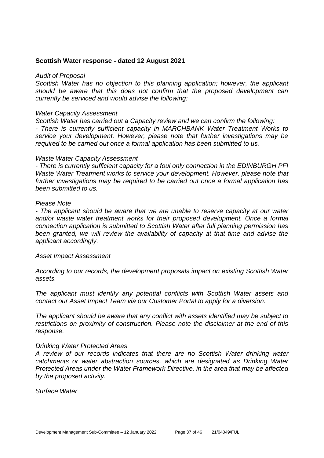#### **Scottish Water response - dated 12 August 2021**

#### *Audit of Proposal*

*Scottish Water has no objection to this planning application; however, the applicant should be aware that this does not confirm that the proposed development can currently be serviced and would advise the following:* 

#### *Water Capacity Assessment*

*Scottish Water has carried out a Capacity review and we can confirm the following: - There is currently sufficient capacity in MARCHBANK Water Treatment Works to service your development. However, please note that further investigations may be required to be carried out once a formal application has been submitted to us.* 

#### *Waste Water Capacity Assessment*

*- There is currently sufficient capacity for a foul only connection in the EDINBURGH PFI Waste Water Treatment works to service your development. However, please note that further investigations may be required to be carried out once a formal application has been submitted to us.* 

#### *Please Note*

*- The applicant should be aware that we are unable to reserve capacity at our water and/or waste water treatment works for their proposed development. Once a formal connection application is submitted to Scottish Water after full planning permission has been granted, we will review the availability of capacity at that time and advise the applicant accordingly.* 

#### *Asset Impact Assessment*

*According to our records, the development proposals impact on existing Scottish Water assets.* 

*The applicant must identify any potential conflicts with Scottish Water assets and contact our Asset Impact Team via our Customer Portal to apply for a diversion.* 

*The applicant should be aware that any conflict with assets identified may be subject to restrictions on proximity of construction. Please note the disclaimer at the end of this response.* 

#### *Drinking Water Protected Areas*

*A review of our records indicates that there are no Scottish Water drinking water catchments or water abstraction sources, which are designated as Drinking Water Protected Areas under the Water Framework Directive, in the area that may be affected by the proposed activity.* 

*Surface Water*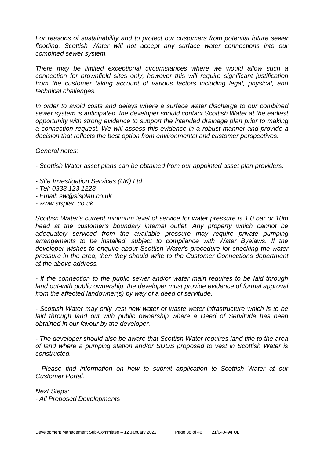*For reasons of sustainability and to protect our customers from potential future sewer flooding, Scottish Water will not accept any surface water connections into our combined sewer system.* 

*There may be limited exceptional circumstances where we would allow such a connection for brownfield sites only, however this will require significant justification from the customer taking account of various factors including legal, physical, and technical challenges.* 

*In order to avoid costs and delays where a surface water discharge to our combined sewer system is anticipated, the developer should contact Scottish Water at the earliest opportunity with strong evidence to support the intended drainage plan prior to making a connection request. We will assess this evidence in a robust manner and provide a decision that reflects the best option from environmental and customer perspectives.* 

#### *General notes:*

*- Scottish Water asset plans can be obtained from our appointed asset plan providers:* 

- *- Site Investigation Services (UK) Ltd*
- *- Tel: 0333 123 1223*
- *- Email: sw@sisplan.co.uk*
- *- www.sisplan.co.uk*

*Scottish Water's current minimum level of service for water pressure is 1.0 bar or 10m head at the customer's boundary internal outlet. Any property which cannot be adequately serviced from the available pressure may require private pumping arrangements to be installed, subject to compliance with Water Byelaws. If the developer wishes to enquire about Scottish Water's procedure for checking the water pressure in the area, then they should write to the Customer Connections department at the above address.* 

*- If the connection to the public sewer and/or water main requires to be laid through land out-with public ownership, the developer must provide evidence of formal approval from the affected landowner(s) by way of a deed of servitude.* 

*- Scottish Water may only vest new water or waste water infrastructure which is to be*  laid through land out with public ownership where a Deed of Servitude has been *obtained in our favour by the developer.* 

*- The developer should also be aware that Scottish Water requires land title to the area of land where a pumping station and/or SUDS proposed to vest in Scottish Water is constructed.* 

*- Please find information on how to submit application to Scottish Water at our Customer Portal.* 

*Next Steps: - All Proposed Developments*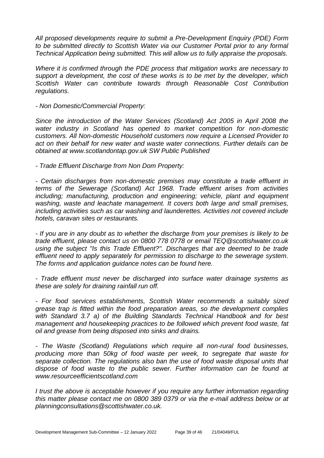*All proposed developments require to submit a Pre-Development Enquiry (PDE) Form to be submitted directly to Scottish Water via our Customer Portal prior to any formal Technical Application being submitted. This will allow us to fully appraise the proposals.* 

*Where it is confirmed through the PDE process that mitigation works are necessary to support a development, the cost of these works is to be met by the developer, which Scottish Water can contribute towards through Reasonable Cost Contribution regulations.*

*- Non Domestic/Commercial Property:* 

*Since the introduction of the Water Services (Scotland) Act 2005 in April 2008 the water industry in Scotland has opened to market competition for non-domestic customers. All Non-domestic Household customers now require a Licensed Provider to act on their behalf for new water and waste water connections. Further details can be obtained at www.scotlandontap.gov.uk SW Public Published* 

*- Trade Effluent Discharge from Non Dom Property:* 

*- Certain discharges from non-domestic premises may constitute a trade effluent in terms of the Sewerage (Scotland) Act 1968. Trade effluent arises from activities including; manufacturing, production and engineering; vehicle, plant and equipment washing, waste and leachate management. It covers both large and small premises, including activities such as car washing and launderettes. Activities not covered include hotels, caravan sites or restaurants.* 

*- If you are in any doubt as to whether the discharge from your premises is likely to be trade effluent, please contact us on 0800 778 0778 or email TEQ@scottishwater.co.uk using the subject "Is this Trade Effluent?". Discharges that are deemed to be trade effluent need to apply separately for permission to discharge to the sewerage system. The forms and application guidance notes can be found here.* 

*- Trade effluent must never be discharged into surface water drainage systems as these are solely for draining rainfall run off.* 

*- For food services establishments, Scottish Water recommends a suitably sized grease trap is fitted within the food preparation areas, so the development complies with Standard 3.7 a) of the Building Standards Technical Handbook and for best management and housekeeping practices to be followed which prevent food waste, fat oil and grease from being disposed into sinks and drains.* 

*- The Waste (Scotland) Regulations which require all non-rural food businesses, producing more than 50kg of food waste per week, to segregate that waste for separate collection. The regulations also ban the use of food waste disposal units that dispose of food waste to the public sewer. Further information can be found at www.resourceefficientscotland.com* 

*I trust the above is acceptable however if you require any further information regarding this matter please contact me on 0800 389 0379 or via the e-mail address below or at planningconsultations@scottishwater.co.uk.*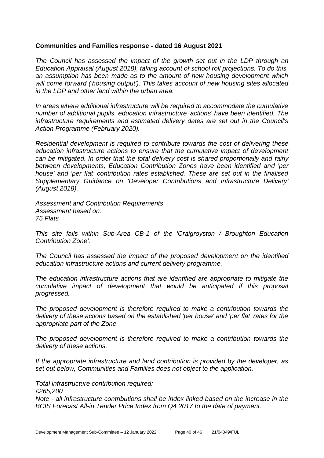#### **Communities and Families response - dated 16 August 2021**

*The Council has assessed the impact of the growth set out in the LDP through an Education Appraisal (August 2018), taking account of school roll projections. To do this, an assumption has been made as to the amount of new housing development which will come forward ('housing output'). This takes account of new housing sites allocated in the LDP and other land within the urban area.*

*In areas where additional infrastructure will be required to accommodate the cumulative number of additional pupils, education infrastructure 'actions' have been identified. The infrastructure requirements and estimated delivery dates are set out in the Council's Action Programme (February 2020).*

*Residential development is required to contribute towards the cost of delivering these education infrastructure actions to ensure that the cumulative impact of development can be mitigated. In order that the total delivery cost is shared proportionally and fairly between developments, Education Contribution Zones have been identified and 'per house' and 'per flat' contribution rates established. These are set out in the finalised Supplementary Guidance on 'Developer Contributions and Infrastructure Delivery' (August 2018).* 

*Assessment and Contribution Requirements Assessment based on: 75 Flats* 

*Total infrastructure contribution required:*

*This site falls within Sub-Area CB-1 of the 'Craigroyston / Broughton Education Contribution Zone'.* 

*The Council has assessed the impact of the proposed development on the identified education infrastructure actions and current delivery programme.* 

*The education infrastructure actions that are identified are appropriate to mitigate the cumulative impact of development that would be anticipated if this proposal progressed.* 

*The proposed development is therefore required to make a contribution towards the delivery of these actions based on the established 'per house' and 'per flat' rates for the appropriate part of the Zone.*

*The proposed development is therefore required to make a contribution towards the delivery of these actions.* 

*If the appropriate infrastructure and land contribution is provided by the developer, as set out below, Communities and Families does not object to the application.*

*£265,200 Note - all infrastructure contributions shall be index linked based on the increase in the BCIS Forecast All-in Tender Price Index from Q4 2017 to the date of payment.*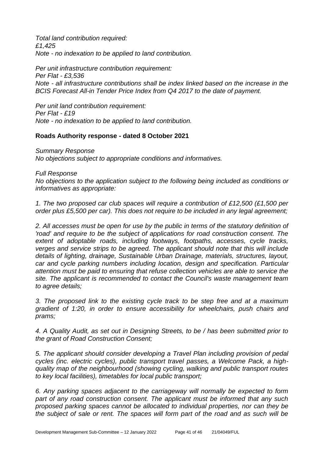*Total land contribution required: £1,425 Note - no indexation to be applied to land contribution.*

*Per unit infrastructure contribution requirement: Per Flat - £3,536 Note - all infrastructure contributions shall be index linked based on the increase in the BCIS Forecast All-in Tender Price Index from Q4 2017 to the date of payment.* 

*Per unit land contribution requirement: Per Flat - £19 Note - no indexation to be applied to land contribution.*

#### **Roads Authority response - dated 8 October 2021**

*Summary Response No objections subject to appropriate conditions and informatives.*

*Full Response*

*No objections to the application subject to the following being included as conditions or informatives as appropriate:*

*1. The two proposed car club spaces will require a contribution of £12,500 (£1,500 per order plus £5,500 per car). This does not require to be included in any legal agreement;*

*2. All accesses must be open for use by the public in terms of the statutory definition of 'road' and require to be the subject of applications for road construction consent. The extent of adoptable roads, including footways, footpaths, accesses, cycle tracks, verges and service strips to be agreed. The applicant should note that this will include details of lighting, drainage, Sustainable Urban Drainage, materials, structures, layout, car and cycle parking numbers including location, design and specification. Particular attention must be paid to ensuring that refuse collection vehicles are able to service the site. The applicant is recommended to contact the Council's waste management team to agree details;*

*3. The proposed link to the existing cycle track to be step free and at a maximum gradient of 1:20, in order to ensure accessibility for wheelchairs, push chairs and prams;* 

*4. A Quality Audit, as set out in Designing Streets, to be / has been submitted prior to the grant of Road Construction Consent;*

*5. The applicant should consider developing a Travel Plan including provision of pedal cycles (inc. electric cycles), public transport travel passes, a Welcome Pack, a highquality map of the neighbourhood (showing cycling, walking and public transport routes to key local facilities), timetables for local public transport;*

*6. Any parking spaces adjacent to the carriageway will normally be expected to form part of any road construction consent. The applicant must be informed that any such proposed parking spaces cannot be allocated to individual properties, nor can they be the subject of sale or rent. The spaces will form part of the road and as such will be*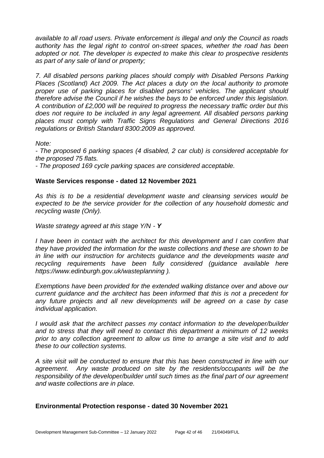*available to all road users. Private enforcement is illegal and only the Council as roads authority has the legal right to control on-street spaces, whether the road has been adopted or not. The developer is expected to make this clear to prospective residents as part of any sale of land or property;*

*7. All disabled persons parking places should comply with Disabled Persons Parking Places (Scotland) Act 2009. The Act places a duty on the local authority to promote proper use of parking places for disabled persons' vehicles. The applicant should therefore advise the Council if he wishes the bays to be enforced under this legislation. A contribution of £2,000 will be required to progress the necessary traffic order but this*  does not require to be included in any legal agreement. All disabled persons parking *places must comply with Traffic Signs Regulations and General Directions 2016 regulations or British Standard 8300:2009 as approved.*

*Note:*

*- The proposed 6 parking spaces (4 disabled, 2 car club) is considered acceptable for the proposed 75 flats.*

*- The proposed 169 cycle parking spaces are considered acceptable.*

#### **Waste Services response - dated 12 November 2021**

*As this is to be a residential development waste and cleansing services would be expected to be the service provider for the collection of any household domestic and recycling waste (Only).* 

*Waste strategy agreed at this stage Y/N - Y*

*I have been in contact with the architect for this development and I can confirm that they have provided the information for the waste collections and these are shown to be in line with our instruction for architects guidance and the developments waste and recycling requirements have been fully considered (guidance available here https://www.edinburgh.gov.uk/wasteplanning ).* 

*Exemptions have been provided for the extended walking distance over and above our current guidance and the architect has been informed that this is not a precedent for any future projects and all new developments will be agreed on a case by case individual application.* 

*I would ask that the architect passes my contact information to the developer/builder and to stress that they will need to contact this department a minimum of 12 weeks prior to any collection agreement to allow us time to arrange a site visit and to add these to our collection systems.* 

*A site visit will be conducted to ensure that this has been constructed in line with our agreement. Any waste produced on site by the residents/occupants will be the responsibility of the developer/builder until such times as the final part of our agreement and waste collections are in place.*

#### **Environmental Protection response - dated 30 November 2021**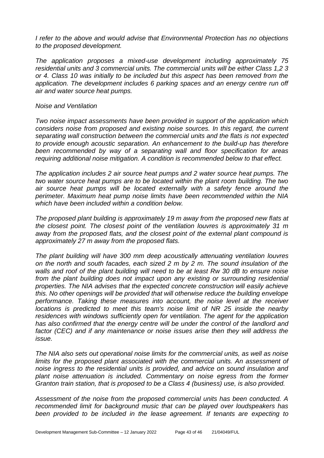*I refer to the above and would advise that Environmental Protection has no objections to the proposed development.*

*The application proposes a mixed-use development including approximately 75 residential units and 3 commercial units. The commercial units will be either Class 1,2 3 or 4. Class 10 was initially to be included but this aspect has been removed from the application. The development includes 6 parking spaces and an energy centre run off air and water source heat pumps.* 

#### *Noise and Ventilation*

*Two noise impact assessments have been provided in support of the application which considers noise from proposed and existing noise sources. In this regard, the current separating wall construction between the commercial units and the flats is not expected to provide enough acoustic separation. An enhancement to the build-up has therefore been recommended by way of a separating wall and floor specification for areas requiring additional noise mitigation. A condition is recommended below to that effect.*

*The application includes 2 air source heat pumps and 2 water source heat pumps. The two water source heat pumps are to be located within the plant room building. The two air source heat pumps will be located externally with a safety fence around the perimeter. Maximum heat pump noise limits have been recommended within the NIA which have been included within a condition below.* 

*The proposed plant building is approximately 19 m away from the proposed new flats at the closest point. The closest point of the ventilation louvres is approximately 31 m away from the proposed flats, and the closest point of the external plant compound is approximately 27 m away from the proposed flats.*

*The plant building will have 300 mm deep acoustically attenuating ventilation louvres on the north and south facades, each sized 2 m by 2 m. The sound insulation of the walls and roof of the plant building will need to be at least Rw 30 dB to ensure noise from the plant building does not impact upon any existing or surrounding residential properties. The NIA advises that the expected concrete construction will easily achieve this. No other openings will be provided that will otherwise reduce the building envelope performance. Taking these measures into account, the noise level at the receiver locations is predicted to meet this team's noise limit of NR 25 inside the nearby residences with windows sufficiently open for ventilation. The agent for the application has also confirmed that the energy centre will be under the control of the landlord and*  factor (CEC) and if any maintenance or noise issues arise then they will address the *issue.*

*The NIA also sets out operational noise limits for the commercial units, as well as noise limits for the proposed plant associated with the commercial units. An assessment of noise ingress to the residential units is provided, and advice on sound insulation and plant noise attenuation is included. Commentary on noise egress from the former Granton train station, that is proposed to be a Class 4 (business) use, is also provided.*

*Assessment of the noise from the proposed commercial units has been conducted. A recommended limit for background music that can be played over loudspeakers has*  been provided to be included in the lease agreement. If tenants are expecting to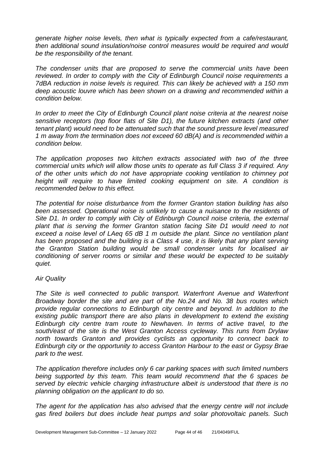*generate higher noise levels, then what is typically expected from a cafe/restaurant, then additional sound insulation/noise control measures would be required and would be the responsibility of the tenant.*

*The condenser units that are proposed to serve the commercial units have been reviewed. In order to comply with the City of Edinburgh Council noise requirements a 7dBA reduction in noise levels is required. This can likely be achieved with a 150 mm deep acoustic louvre which has been shown on a drawing and recommended within a condition below.* 

*In order to meet the City of Edinburgh Council plant noise criteria at the nearest noise sensitive receptors (top floor flats of Site D1), the future kitchen extracts (and other tenant plant) would need to be attenuated such that the sound pressure level measured 1 m away from the termination does not exceed 60 dB(A) and is recommended within a condition below.* 

*The application proposes two kitchen extracts associated with two of the three commercial units which will allow those units to operate as full Class 3 if required. Any of the other units which do not have appropriate cooking ventilation to chimney pot height will require to have limited cooking equipment on site. A condition is recommended below to this effect.* 

*The potential for noise disturbance from the former Granton station building has also been assessed. Operational noise is unlikely to cause a nuisance to the residents of Site D1. In order to comply with City of Edinburgh Council noise criteria, the external plant that is serving the former Granton station facing Site D1 would need to not exceed a noise level of LAeq 65 dB 1 m outside the plant. Since no ventilation plant*  has been proposed and the building is a Class 4 use, it is likely that any plant serving *the Granton Station building would be small condenser units for localised air conditioning of server rooms or similar and these would be expected to be suitably quiet.*

#### *Air Quality*

*The Site is well connected to public transport. Waterfront Avenue and Waterfront Broadway border the site and are part of the No.24 and No. 38 bus routes which provide regular connections to Edinburgh city centre and beyond. In addition to the existing public transport there are also plans in development to extend the existing Edinburgh city centre tram route to Newhaven. In terms of active travel, to the south/east of the site is the West Granton Access cycleway. This runs from Drylaw north towards Granton and provides cyclists an opportunity to connect back to Edinburgh city or the opportunity to access Granton Harbour to the east or Gypsy Brae park to the west.*

*The application therefore includes only 6 car parking spaces with such limited numbers being supported by this team. This team would recommend that the 6 spaces be served by electric vehicle charging infrastructure albeit is understood that there is no planning obligation on the applicant to do so.* 

*The agent for the application has also advised that the energy centre will not include gas fired boilers but does include heat pumps and solar photovoltaic panels. Such*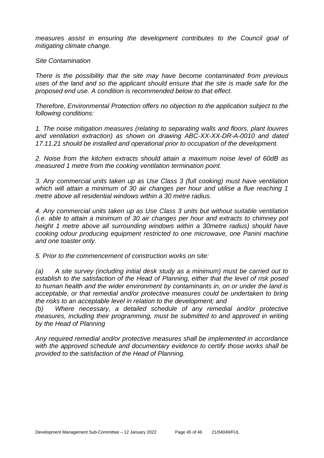*measures assist in ensuring the development contributes to the Council goal of mitigating climate change.*

*Site Contamination*

*There is the possibility that the site may have become contaminated from previous uses of the land and so the applicant should ensure that the site is made safe for the proposed end use. A condition is recommended below to that effect.*

*Therefore, Environmental Protection offers no objection to the application subject to the following conditions:*

*1. The noise mitigation measures (relating to separating walls and floors, plant louvres and ventilation extraction) as shown on drawing ABC-XX-XX-DR-A-0010 and dated 17.11.21 should be installed and operational prior to occupation of the development.*

*2. Noise from the kitchen extracts should attain a maximum noise level of 60dB as measured 1 metre from the cooking ventilation termination point.*

*3. Any commercial units taken up as Use Class 3 (full cooking) must have ventilation which will attain a minimum of 30 air changes per hour and utilise a flue reaching 1 metre above all residential windows within a 30 metre radius.*

*4. Any commercial units taken up as Use Class 3 units but without suitable ventilation (i.e. able to attain a minimum of 30 air changes per hour and extracts to chimney pot height 1 metre above all surrounding windows within a 30metre radius) should have cooking odour producing equipment restricted to one microwave, one Panini machine and one toaster only.* 

*5. Prior to the commencement of construction works on site:*

*(a) A site survey (including initial desk study as a minimum) must be carried out to establish to the satisfaction of the Head of Planning, either that the level of risk posed to human health and the wider environment by contaminants in, on or under the land is acceptable, or that remedial and/or protective measures could be undertaken to bring the risks to an acceptable level in relation to the development; and*

*(b) Where necessary, a detailed schedule of any remedial and/or protective measures, including their programming, must be submitted to and approved in writing by the Head of Planning*

*Any required remedial and/or protective measures shall be implemented in accordance with the approved schedule and documentary evidence to certify those works shall be provided to the satisfaction of the Head of Planning.*